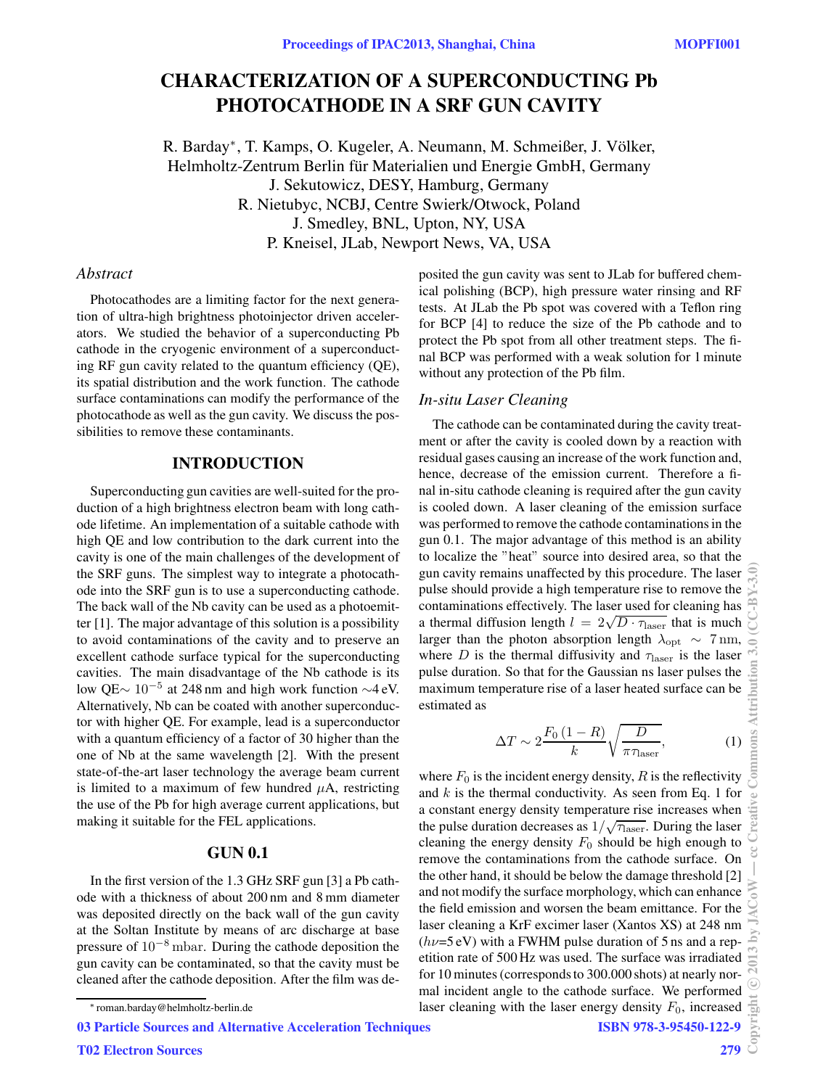# CHARACTERIZATION OF A SUPERCONDUCTING Pb PHOTOCATHODE IN A SRF GUN CAVITY

R. Barday<sup>∗</sup>, T. Kamps, O. Kugeler, A. Neumann, M. Schmeißer, J. Völker, Helmholtz-Zentrum Berlin für Materialien und Energie GmbH, Germany J. Sekutowicz, DESY, Hamburg, Germany R. Nietubyc, NCBJ, Centre Swierk/Otwock, Poland J. Smedley, BNL, Upton, NY, USA P. Kneisel, JLab, Newport News, VA, USA

# *Abstract*

Photocathodes are a limiting factor for the next generation of ultra-high brightness photoinjector driven accelerators. We studied the behavior of a superconducting Pb cathode in the cryogenic environment of a superconducting RF gun cavity related to the quantum efficiency (QE), its spatial distribution and the work function. The cathode surface contaminations can modify the performance of the photocathode as well as the gun cavity. We discuss the possibilities to remove these contaminants.

# INTRODUCTION

Superconducting gun cavities are well-suited for the production of a high brightness electron beam with long cathode lifetime. An implementation of a suitable cathode with high QE and low contribution to the dark current into the cavity is one of the main challenges of the development of the SRF guns. The simplest way to integrate a photocathode into the SRF gun is to use a superconducting cathode. The back wall of the Nb cavity can be used as a photoemitter [1]. The major advantage of this solution is a possibility to avoid contaminations of the cavity and to preserve an excellent cathode surface typical for the superconducting cavities. The main disadvantage of the Nb cathode is its low QE<sup>∼</sup> <sup>10</sup><sup>−</sup><sup>5</sup> at 248 nm and high work function <sup>∼</sup>4 eV. Alternatively, Nb can be coated with another superconductor with higher QE. For example, lead is a superconductor with a quantum efficiency of a factor of 30 higher than the one of Nb at the same wavelength [2]. With the present state-of-the-art laser technology the average beam current is limited to a maximum of few hundred  $\mu$ A, restricting the use of the Pb for high average current applications, but making it suitable for the FEL applications.

## GUN 0.1

In the first version of the 1.3 GHz SRF gun [3] a Pb cathode with a thickness of about 200 nm and 8 mm diameter was deposited directly on the back wall of the gun cavity at the Soltan Institute by means of arc discharge at base pressure of 10−<sup>8</sup> mbar. During the cathode deposition the gun cavity can be contaminated, so that the cavity must be cleaned after the cathode deposition. After the film was de-

03 Particle Sources and Alternative Acceleration Techniques

posited the gun cavity was sent to JLab for buffered chemical polishing (BCP), high pressure water rinsing and RF tests. At JLab the Pb spot was covered with a Teflon ring for BCP [4] to reduce the size of the Pb cathode and to protect the Pb spot from all other treatment steps. The final BCP was performed with a weak solution for 1 minute without any protection of the Pb film.

### *In-situ Laser Cleaning*

The cathode can be contaminated during the cavity treatment or after the cavity is cooled down by a reaction with residual gases causing an increase of the work function and, hence, decrease of the emission current. Therefore a final in-situ cathode cleaning is required after the gun cavity is cooled down. A laser cleaning of the emission surface was performed to remove the cathode contaminations in the gun 0.1. The major advantage of this method is an ability to localize the "heat" source into desired area, so that the gun cavity remains unaffected by this procedure. The laser pulse should provide a high temperature rise to remove the contaminations effectively. The laser used for cleaning has a thermal diffusion length  $l = 2\sqrt{D \cdot \tau_{\text{laser}}}$  that is much larger than the photon absorption length  $\lambda_{\text{opt}} \sim 7 \text{ nm}$ , where D is the thermal diffusivity and  $\tau_{\text{laser}}$  is the laser pulse duration. So that for the Gaussian ns laser pulses the maximum temperature rise of a laser heated surface can be estimated as

$$
\Delta T \sim 2 \frac{F_0 \left(1 - R\right)}{k} \sqrt{\frac{D}{\pi \tau_{\text{laser}}}},\tag{1}
$$

where  $F_0$  is the incident energy density,  $R$  is the reflectivity and  $k$  is the thermal conductivity. As seen from Eq. 1 for a constant energy density temperature rise increases when the pulse duration decreases as  $1/\sqrt{\tau_{\text{laser}}}$ . During the laser cleaning the energy density  $F_0$  should be high enough to remove the contaminations from the cathode surface. On the other hand, it should be below the damage threshold [2] and not modify the surface morphology, which can enhance the field emission and worsen the beam emittance. For the laser cleaning a KrF excimer laser (Xantos XS) at 248 nm  $(h\nu=5$  eV) with a FWHM pulse duration of 5 ns and a repetition rate of 500 Hz was used. The surface was irradiated for 10 minutes (corresponds to 300.000 shots) at nearly normal incident angle to the cathode surface. We performed laser cleaning with the laser energy density  $F_0$ , increased ISBN 978-3-95450-122-9

<sup>∗</sup> roman.barday@helmholtz-berlin.de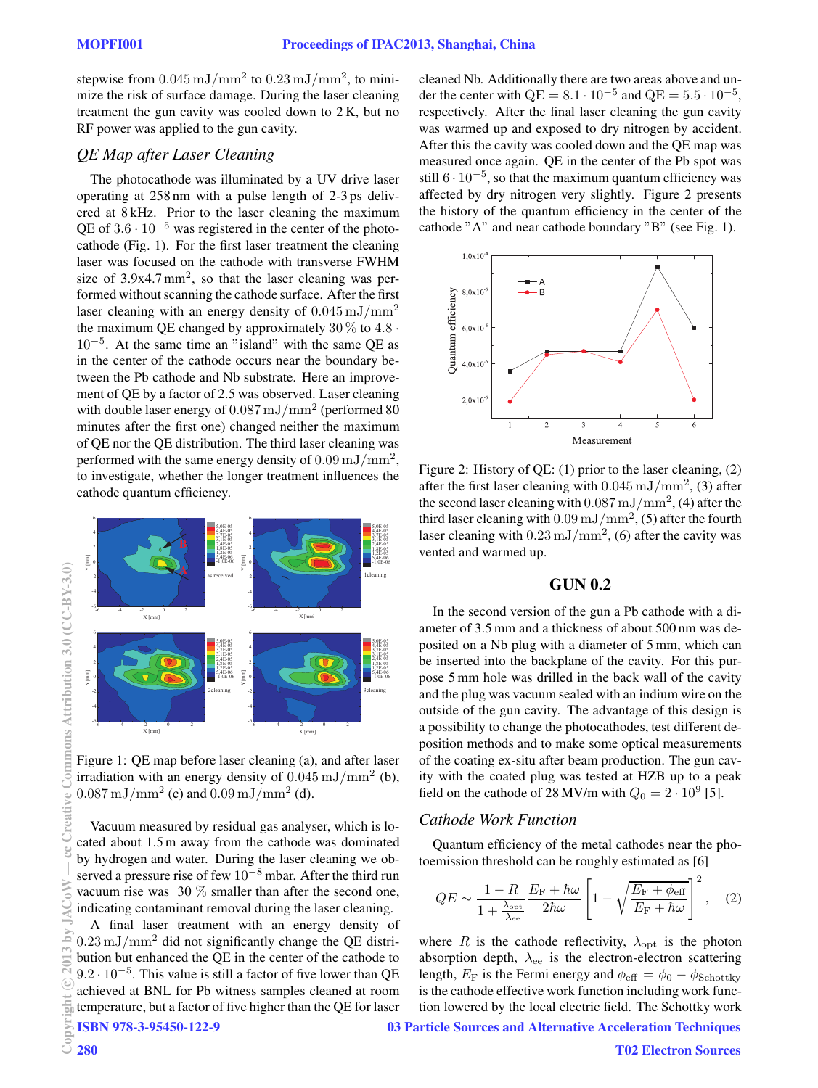stepwise from  $0.045 \,\mathrm{mJ/mm^2}$  to  $0.23 \,\mathrm{mJ/mm^2}$ , to minimize the risk of surface damage. During the laser cleaning treatment the gun cavity was cooled down to 2 K, but no RF power was applied to the gun cavity.

# *QE Map after Laser Cleaning*

The photocathode was illuminated by a UV drive laser operating at 258 nm with a pulse length of 2-3 ps delivered at 8 kHz. Prior to the laser cleaning the maximum QE of  $3.6 \cdot 10^{-5}$  was registered in the center of the photocathode (Fig. 1). For the first laser treatment the cleaning laser was focused on the cathode with transverse FWHM size of  $3.9x4.7 \text{ mm}^2$ , so that the laser cleaning was performed without scanning the cathode surface. After the first laser cleaning with an energy density of  $0.045 \text{ mJ/mm}^2$ the maximum QE changed by approximately  $30\%$  to  $4.8\cdot$ 10−<sup>5</sup> . At the same time an "island" with the same QE as in the center of the cathode occurs near the boundary between the Pb cathode and Nb substrate. Here an improvement of QE by a factor of 2.5 was observed. Laser cleaning with double laser energy of  $0.087\,\mathrm{mJ}/\mathrm{mm}^2$  (performed  $80$ minutes after the first one) changed neither the maximum of QE nor the QE distribution. The third laser cleaning was performed with the same energy density of  $0.09\,\mathrm{mJ}/\mathrm{mm}^2,$ to investigate, whether the longer treatment influences the cathode quantum efficiency.



Figure 1: QE map before laser cleaning (a), and after laser irradiation with an energy density of  $0.045 \,\mathrm{mJ}/\mathrm{mm}^2$  (b),  $0.087 \,\mathrm{mJ/mm^2}$  (c) and  $0.09 \,\mathrm{mJ/mm^2}$  (d).

Vacuum measured by residual gas analyser, which is located about 1.5 m away from the cathode was dominated by hydrogen and water. During the laser cleaning we observed a pressure rise of few 10<sup>−</sup><sup>8</sup> mbar. After the third run vacuum rise was 30 % smaller than after the second one, indicating contaminant removal during the laser cleaning.

A final laser treatment with an energy density of  $0.23 \,\mathrm{mJ/mm^2}$  did not significantly change the QE distribution but enhanced the QE in the center of the cathode to  $9.2 \cdot 10^{-5}$ . This value is still a factor of five lower than QE achieved at BNL for Pb witness samples cleaned at room temperature, but a factor of five higher than the QE for laser ISBN 978-3-95450-122-9

cleaned Nb. Additionally there are two areas above and under the center with  $QE = 8.1 \cdot 10^{-5}$  and  $QE = 5.5 \cdot 10^{-5}$ , respectively. After the final laser cleaning the gun cavity was warmed up and exposed to dry nitrogen by accident. After this the cavity was cooled down and the QE map was measured once again. QE in the center of the Pb spot was still  $6 \cdot 10^{-5}$ , so that the maximum quantum efficiency was affected by dry nitrogen very slightly. Figure 2 presents the history of the quantum efficiency in the center of the cathode "A" and near cathode boundary "B" (see Fig. 1).



Figure 2: History of QE: (1) prior to the laser cleaning, (2) after the first laser cleaning with  $0.045 \,\mathrm{mJ/mm^2}$ , (3) after the second laser cleaning with  $0.087 \,\mathrm{mJ}/\mathrm{mm}^2$ , (4) after the third laser cleaning with  $0.09\,\mathrm{mJ}/\mathrm{mm}^2$ , (5) after the fourth laser cleaning with  $0.23 \,\mathrm{mJ/mm^2}$ , (6) after the cavity was vented and warmed up.

# GUN 0.2

In the second version of the gun a Pb cathode with a diameter of 3.5 mm and a thickness of about 500 nm was deposited on a Nb plug with a diameter of 5 mm, which can be inserted into the backplane of the cavity. For this purpose 5 mm hole was drilled in the back wall of the cavity and the plug was vacuum sealed with an indium wire on the outside of the gun cavity. The advantage of this design is a possibility to change the photocathodes, test different deposition methods and to make some optical measurements of the coating ex-situ after beam production. The gun cavity with the coated plug was tested at HZB up to a peak field on the cathode of 28 MV/m with  $Q_0 = 2 \cdot 10^9$  [5].

# *Cathode Work Function*

Quantum efficiency of the metal cathodes near the photoemission threshold can be roughly estimated as [6]

$$
QE \sim \frac{1 - R}{1 + \frac{\lambda_{\rm opt}}{\lambda_{\rm ee}}} \frac{E_{\rm F} + \hbar \omega}{2\hbar \omega} \left[ 1 - \sqrt{\frac{E_{\rm F} + \phi_{\rm eff}}{E_{\rm F} + \hbar \omega}} \right]^2, \quad (2)
$$

where R is the cathode reflectivity,  $\lambda_{\text{opt}}$  is the photon absorption depth,  $\lambda_{ee}$  is the electron-electron scattering length,  $E_F$  is the Fermi energy and  $\phi_{\text{eff}} = \phi_0 - \phi_{\text{Schottky}}$ is the cathode effective work function including work function lowered by the local electric field. The Schottky work 03 Particle Sources and Alternative Acceleration Techniques